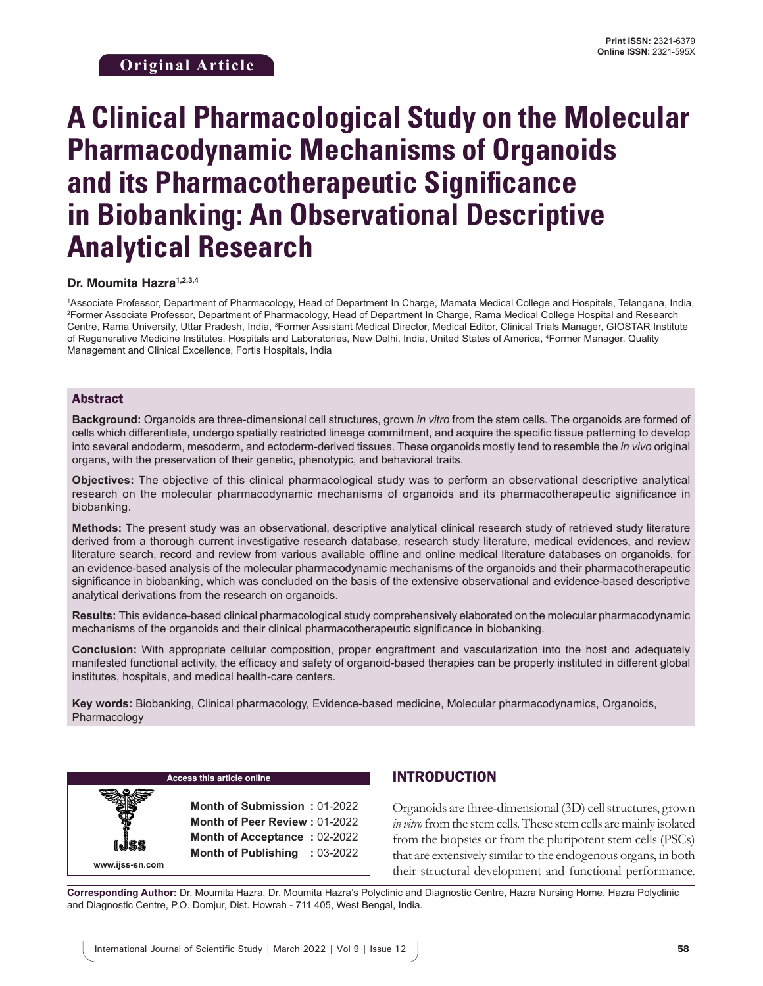# **A Clinical Pharmacological Study on the Molecular Pharmacodynamic Mechanisms of Organoids and its Pharmacotherapeutic Significance in Biobanking: An Observational Descriptive Analytical Research**

#### **Dr. Moumita Hazra1,2,3,4**

1 Associate Professor, Department of Pharmacology, Head of Department In Charge, Mamata Medical College and Hospitals, Telangana, India, 2 Former Associate Professor, Department of Pharmacology, Head of Department In Charge, Rama Medical College Hospital and Research Centre, Rama University, Uttar Pradesh, India, <sup>3</sup>Former Assistant Medical Director, Medical Editor, Clinical Trials Manager, GIOSTAR Institute of Regenerative Medicine Institutes, Hospitals and Laboratories, New Delhi, India, United States of America, 4 Former Manager, Quality Management and Clinical Excellence, Fortis Hospitals, India

#### Abstract

**Background:** Organoids are three-dimensional cell structures, grown *in vitro* from the stem cells. The organoids are formed of cells which differentiate, undergo spatially restricted lineage commitment, and acquire the specific tissue patterning to develop into several endoderm, mesoderm, and ectoderm-derived tissues. These organoids mostly tend to resemble the *in vivo* original organs, with the preservation of their genetic, phenotypic, and behavioral traits.

**Objectives:** The objective of this clinical pharmacological study was to perform an observational descriptive analytical research on the molecular pharmacodynamic mechanisms of organoids and its pharmacotherapeutic significance in biobanking.

**Methods:** The present study was an observational, descriptive analytical clinical research study of retrieved study literature derived from a thorough current investigative research database, research study literature, medical evidences, and review literature search, record and review from various available offline and online medical literature databases on organoids, for an evidence-based analysis of the molecular pharmacodynamic mechanisms of the organoids and their pharmacotherapeutic significance in biobanking, which was concluded on the basis of the extensive observational and evidence-based descriptive analytical derivations from the research on organoids.

**Results:** This evidence-based clinical pharmacological study comprehensively elaborated on the molecular pharmacodynamic mechanisms of the organoids and their clinical pharmacotherapeutic significance in biobanking.

**Conclusion:** With appropriate cellular composition, proper engraftment and vascularization into the host and adequately manifested functional activity, the efficacy and safety of organoid-based therapies can be properly instituted in different global institutes, hospitals, and medical health-care centers.

**Key words:** Biobanking, Clinical pharmacology, Evidence-based medicine, Molecular pharmacodynamics, Organoids, Pharmacology

**Access this article online**

**www.ijss-sn.com**

**Month of Submission :** 01-2022 **Month of Peer Review :** 01-2022 **Month of Acceptance :** 02-2022 **Month of Publishing :** 03-2022

#### INTRODUCTION

Organoids are three-dimensional (3D) cell structures, grown *in vitro* from the stem cells. These stem cells are mainly isolated from the biopsies or from the pluripotent stem cells (PSCs) that are extensively similar to the endogenous organs, in both their structural development and functional performance.

**Corresponding Author:** Dr. Moumita Hazra, Dr. Moumita Hazra's Polyclinic and Diagnostic Centre, Hazra Nursing Home, Hazra Polyclinic and Diagnostic Centre, P.O. Domjur, Dist. Howrah - 711 405, West Bengal, India.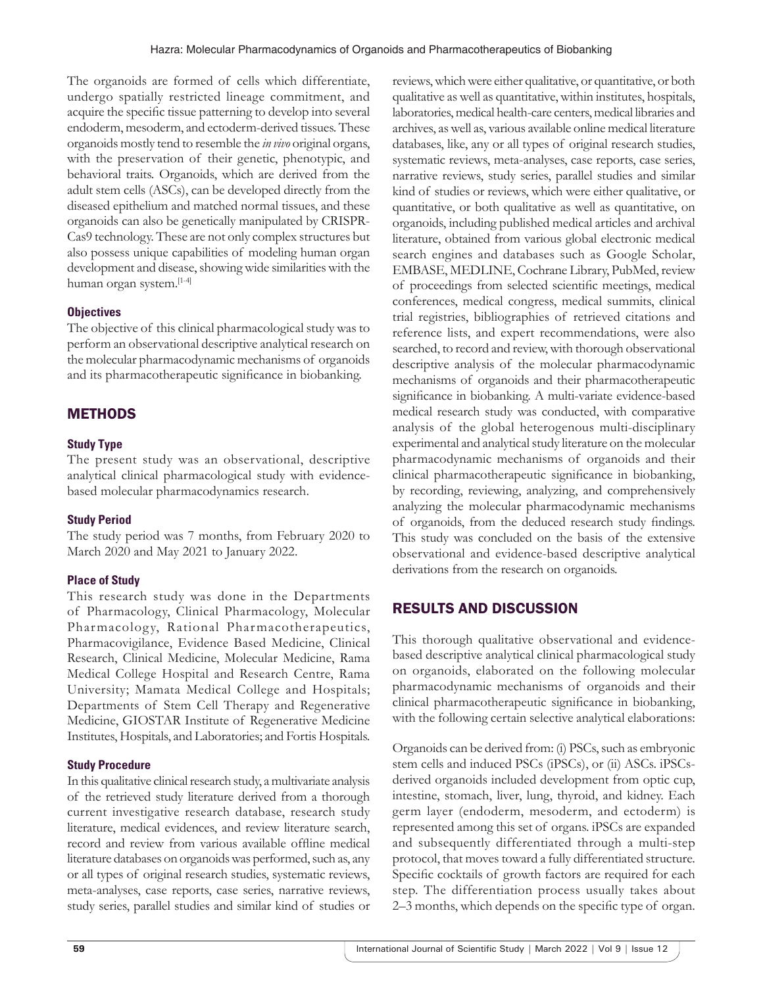The organoids are formed of cells which differentiate, undergo spatially restricted lineage commitment, and acquire the specific tissue patterning to develop into several endoderm, mesoderm, and ectoderm-derived tissues. These organoids mostly tend to resemble the *in vivo* original organs, with the preservation of their genetic, phenotypic, and behavioral traits. Organoids, which are derived from the adult stem cells (ASCs), can be developed directly from the diseased epithelium and matched normal tissues, and these organoids can also be genetically manipulated by CRISPR-Cas9 technology. These are not only complex structures but also possess unique capabilities of modeling human organ development and disease, showing wide similarities with the human organ system.[1-4]

#### **Objectives**

The objective of this clinical pharmacological study was to perform an observational descriptive analytical research on the molecular pharmacodynamic mechanisms of organoids and its pharmacotherapeutic significance in biobanking.

# METHODS

#### **Study Type**

The present study was an observational, descriptive analytical clinical pharmacological study with evidencebased molecular pharmacodynamics research.

#### **Study Period**

The study period was 7 months, from February 2020 to March 2020 and May 2021 to January 2022.

#### **Place of Study**

This research study was done in the Departments of Pharmacology, Clinical Pharmacology, Molecular Pharmacology, Rational Pharmacotherapeutics, Pharmacovigilance, Evidence Based Medicine, Clinical Research, Clinical Medicine, Molecular Medicine, Rama Medical College Hospital and Research Centre, Rama University; Mamata Medical College and Hospitals; Departments of Stem Cell Therapy and Regenerative Medicine, GIOSTAR Institute of Regenerative Medicine Institutes, Hospitals, and Laboratories; and Fortis Hospitals.

#### **Study Procedure**

In this qualitative clinical research study, a multivariate analysis of the retrieved study literature derived from a thorough current investigative research database, research study literature, medical evidences, and review literature search, record and review from various available offline medical literature databases on organoids was performed, such as, any or all types of original research studies, systematic reviews, meta-analyses, case reports, case series, narrative reviews, study series, parallel studies and similar kind of studies or reviews, which were either qualitative, or quantitative, or both qualitative as well as quantitative, within institutes, hospitals, laboratories, medical health-care centers, medical libraries and archives, as well as, various available online medical literature databases, like, any or all types of original research studies, systematic reviews, meta-analyses, case reports, case series, narrative reviews, study series, parallel studies and similar kind of studies or reviews, which were either qualitative, or quantitative, or both qualitative as well as quantitative, on organoids, including published medical articles and archival literature, obtained from various global electronic medical search engines and databases such as Google Scholar, EMBASE, MEDLINE, Cochrane Library, PubMed, review of proceedings from selected scientific meetings, medical conferences, medical congress, medical summits, clinical trial registries, bibliographies of retrieved citations and reference lists, and expert recommendations, were also searched, to record and review, with thorough observational descriptive analysis of the molecular pharmacodynamic mechanisms of organoids and their pharmacotherapeutic significance in biobanking. A multi-variate evidence-based medical research study was conducted, with comparative analysis of the global heterogenous multi-disciplinary experimental and analytical study literature on the molecular pharmacodynamic mechanisms of organoids and their clinical pharmacotherapeutic significance in biobanking, by recording, reviewing, analyzing, and comprehensively analyzing the molecular pharmacodynamic mechanisms of organoids, from the deduced research study findings. This study was concluded on the basis of the extensive observational and evidence-based descriptive analytical derivations from the research on organoids.

## RESULTS AND DISCUSSION

This thorough qualitative observational and evidencebased descriptive analytical clinical pharmacological study on organoids, elaborated on the following molecular pharmacodynamic mechanisms of organoids and their clinical pharmacotherapeutic significance in biobanking, with the following certain selective analytical elaborations:

Organoids can be derived from: (i) PSCs, such as embryonic stem cells and induced PSCs (iPSCs), or (ii) ASCs. iPSCsderived organoids included development from optic cup, intestine, stomach, liver, lung, thyroid, and kidney. Each germ layer (endoderm, mesoderm, and ectoderm) is represented among this set of organs. iPSCs are expanded and subsequently differentiated through a multi-step protocol, that moves toward a fully differentiated structure. Specific cocktails of growth factors are required for each step. The differentiation process usually takes about 2–3 months, which depends on the specific type of organ.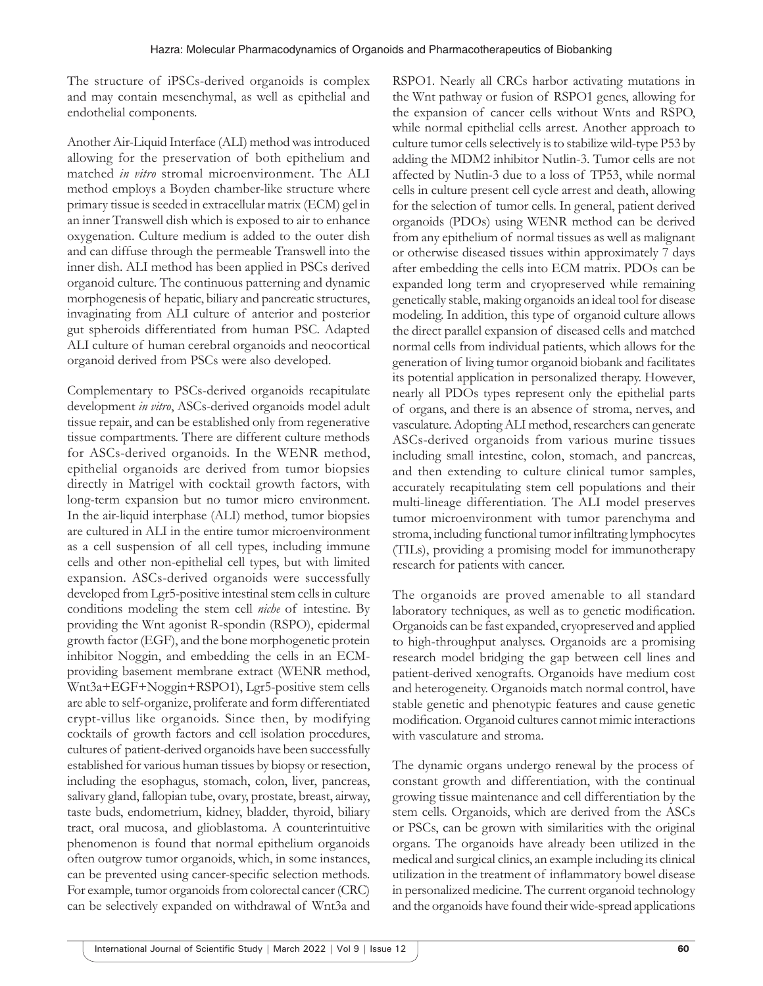The structure of iPSCs-derived organoids is complex and may contain mesenchymal, as well as epithelial and endothelial components.

Another Air-Liquid Interface (ALI) method was introduced allowing for the preservation of both epithelium and matched *in vitro* stromal microenvironment. The ALI method employs a Boyden chamber-like structure where primary tissue is seeded in extracellular matrix (ECM) gel in an inner Transwell dish which is exposed to air to enhance oxygenation. Culture medium is added to the outer dish and can diffuse through the permeable Transwell into the inner dish. ALI method has been applied in PSCs derived organoid culture. The continuous patterning and dynamic morphogenesis of hepatic, biliary and pancreatic structures, invaginating from ALI culture of anterior and posterior gut spheroids differentiated from human PSC. Adapted ALI culture of human cerebral organoids and neocortical organoid derived from PSCs were also developed.

Complementary to PSCs-derived organoids recapitulate development *in vitro*, ASCs-derived organoids model adult tissue repair, and can be established only from regenerative tissue compartments. There are different culture methods for ASCs-derived organoids. In the WENR method, epithelial organoids are derived from tumor biopsies directly in Matrigel with cocktail growth factors, with long-term expansion but no tumor micro environment. In the air-liquid interphase (ALI) method, tumor biopsies are cultured in ALI in the entire tumor microenvironment as a cell suspension of all cell types, including immune cells and other non-epithelial cell types, but with limited expansion. ASCs-derived organoids were successfully developed from Lgr5-positive intestinal stem cells in culture conditions modeling the stem cell *niche* of intestine. By providing the Wnt agonist R-spondin (RSPO), epidermal growth factor (EGF), and the bone morphogenetic protein inhibitor Noggin, and embedding the cells in an ECMproviding basement membrane extract (WENR method, Wnt3a+EGF+Noggin+RSPO1), Lgr5-positive stem cells are able to self-organize, proliferate and form differentiated crypt-villus like organoids. Since then, by modifying cocktails of growth factors and cell isolation procedures, cultures of patient-derived organoids have been successfully established for various human tissues by biopsy or resection, including the esophagus, stomach, colon, liver, pancreas, salivary gland, fallopian tube, ovary, prostate, breast, airway, taste buds, endometrium, kidney, bladder, thyroid, biliary tract, oral mucosa, and glioblastoma. A counterintuitive phenomenon is found that normal epithelium organoids often outgrow tumor organoids, which, in some instances, can be prevented using cancer-specific selection methods. For example, tumor organoids from colorectal cancer (CRC) can be selectively expanded on withdrawal of Wnt3a and

RSPO1. Nearly all CRCs harbor activating mutations in the Wnt pathway or fusion of RSPO1 genes, allowing for the expansion of cancer cells without Wnts and RSPO, while normal epithelial cells arrest. Another approach to culture tumor cells selectively is to stabilize wild-type P53 by adding the MDM2 inhibitor Nutlin-3. Tumor cells are not affected by Nutlin-3 due to a loss of TP53, while normal cells in culture present cell cycle arrest and death, allowing for the selection of tumor cells. In general, patient derived organoids (PDOs) using WENR method can be derived from any epithelium of normal tissues as well as malignant or otherwise diseased tissues within approximately 7 days after embedding the cells into ECM matrix. PDOs can be expanded long term and cryopreserved while remaining genetically stable, making organoids an ideal tool for disease modeling. In addition, this type of organoid culture allows the direct parallel expansion of diseased cells and matched normal cells from individual patients, which allows for the generation of living tumor organoid biobank and facilitates its potential application in personalized therapy. However, nearly all PDOs types represent only the epithelial parts of organs, and there is an absence of stroma, nerves, and vasculature. Adopting ALI method, researchers can generate ASCs-derived organoids from various murine tissues including small intestine, colon, stomach, and pancreas, and then extending to culture clinical tumor samples, accurately recapitulating stem cell populations and their multi-lineage differentiation. The ALI model preserves tumor microenvironment with tumor parenchyma and stroma, including functional tumor infiltrating lymphocytes (TILs), providing a promising model for immunotherapy research for patients with cancer.

The organoids are proved amenable to all standard laboratory techniques, as well as to genetic modification. Organoids can be fast expanded, cryopreserved and applied to high-throughput analyses. Organoids are a promising research model bridging the gap between cell lines and patient-derived xenografts. Organoids have medium cost and heterogeneity. Organoids match normal control, have stable genetic and phenotypic features and cause genetic modification. Organoid cultures cannot mimic interactions with vasculature and stroma.

The dynamic organs undergo renewal by the process of constant growth and differentiation, with the continual growing tissue maintenance and cell differentiation by the stem cells. Organoids, which are derived from the ASCs or PSCs, can be grown with similarities with the original organs. The organoids have already been utilized in the medical and surgical clinics, an example including its clinical utilization in the treatment of inflammatory bowel disease in personalized medicine. The current organoid technology and the organoids have found their wide-spread applications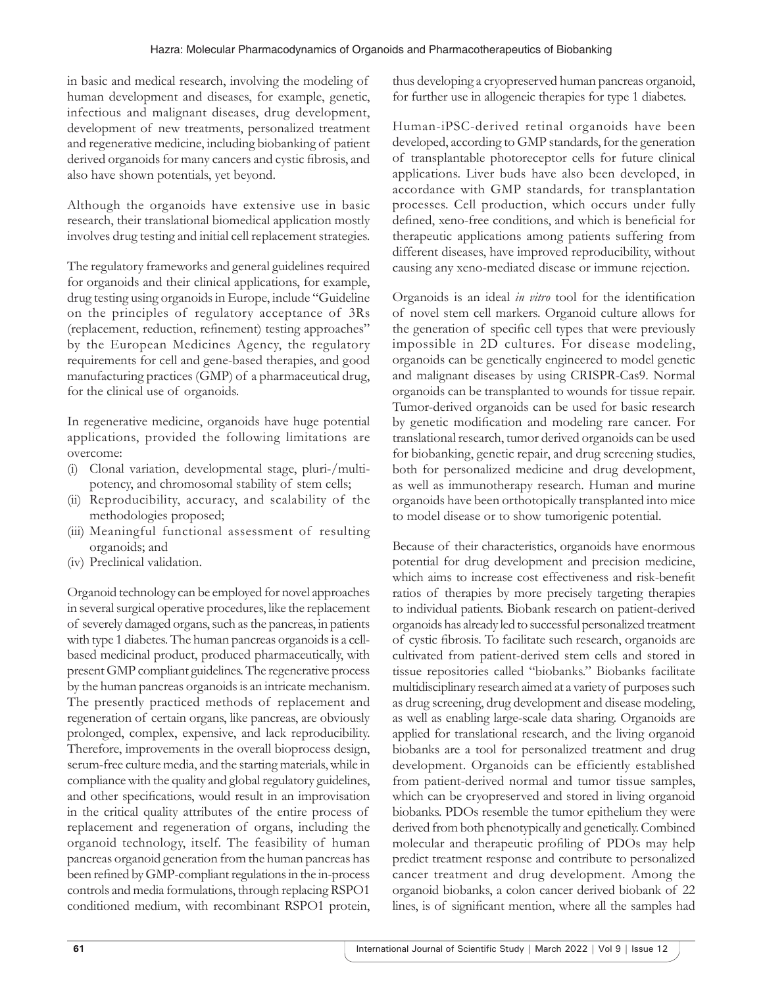in basic and medical research, involving the modeling of human development and diseases, for example, genetic, infectious and malignant diseases, drug development, development of new treatments, personalized treatment and regenerative medicine, including biobanking of patient derived organoids for many cancers and cystic fibrosis, and also have shown potentials, yet beyond.

Although the organoids have extensive use in basic research, their translational biomedical application mostly involves drug testing and initial cell replacement strategies.

The regulatory frameworks and general guidelines required for organoids and their clinical applications, for example, drug testing using organoids in Europe, include "Guideline on the principles of regulatory acceptance of 3Rs (replacement, reduction, refinement) testing approaches" by the European Medicines Agency, the regulatory requirements for cell and gene-based therapies, and good manufacturing practices (GMP) of a pharmaceutical drug, for the clinical use of organoids.

In regenerative medicine, organoids have huge potential applications, provided the following limitations are overcome:

- (i) Clonal variation, developmental stage, pluri-/multipotency, and chromosomal stability of stem cells;
- (ii) Reproducibility, accuracy, and scalability of the methodologies proposed;
- (iii) Meaningful functional assessment of resulting organoids; and
- (iv) Preclinical validation.

Organoid technology can be employed for novel approaches in several surgical operative procedures, like the replacement of severely damaged organs, such as the pancreas, in patients with type 1 diabetes. The human pancreas organoids is a cellbased medicinal product, produced pharmaceutically, with present GMP compliant guidelines. The regenerative process by the human pancreas organoids is an intricate mechanism. The presently practiced methods of replacement and regeneration of certain organs, like pancreas, are obviously prolonged, complex, expensive, and lack reproducibility. Therefore, improvements in the overall bioprocess design, serum-free culture media, and the starting materials, while in compliance with the quality and global regulatory guidelines, and other specifications, would result in an improvisation in the critical quality attributes of the entire process of replacement and regeneration of organs, including the organoid technology, itself. The feasibility of human pancreas organoid generation from the human pancreas has been refined by GMP-compliant regulations in the in-process controls and media formulations, through replacing RSPO1 conditioned medium, with recombinant RSPO1 protein,

thus developing a cryopreserved human pancreas organoid, for further use in allogeneic therapies for type 1 diabetes.

Human-iPSC-derived retinal organoids have been developed, according to GMP standards, for the generation of transplantable photoreceptor cells for future clinical applications. Liver buds have also been developed, in accordance with GMP standards, for transplantation processes. Cell production, which occurs under fully defined, xeno-free conditions, and which is beneficial for therapeutic applications among patients suffering from different diseases, have improved reproducibility, without causing any xeno-mediated disease or immune rejection.

Organoids is an ideal *in vitro* tool for the identification of novel stem cell markers. Organoid culture allows for the generation of specific cell types that were previously impossible in 2D cultures. For disease modeling, organoids can be genetically engineered to model genetic and malignant diseases by using CRISPR-Cas9. Normal organoids can be transplanted to wounds for tissue repair. Tumor-derived organoids can be used for basic research by genetic modification and modeling rare cancer. For translational research, tumor derived organoids can be used for biobanking, genetic repair, and drug screening studies, both for personalized medicine and drug development, as well as immunotherapy research. Human and murine organoids have been orthotopically transplanted into mice to model disease or to show tumorigenic potential.

Because of their characteristics, organoids have enormous potential for drug development and precision medicine, which aims to increase cost effectiveness and risk-benefit ratios of therapies by more precisely targeting therapies to individual patients. Biobank research on patient-derived organoids has already led to successful personalized treatment of cystic fibrosis. To facilitate such research, organoids are cultivated from patient-derived stem cells and stored in tissue repositories called "biobanks." Biobanks facilitate multidisciplinary research aimed at a variety of purposes such as drug screening, drug development and disease modeling, as well as enabling large-scale data sharing. Organoids are applied for translational research, and the living organoid biobanks are a tool for personalized treatment and drug development. Organoids can be efficiently established from patient-derived normal and tumor tissue samples, which can be cryopreserved and stored in living organoid biobanks. PDOs resemble the tumor epithelium they were derived from both phenotypically and genetically. Combined molecular and therapeutic profiling of PDOs may help predict treatment response and contribute to personalized cancer treatment and drug development. Among the organoid biobanks, a colon cancer derived biobank of 22 lines, is of significant mention, where all the samples had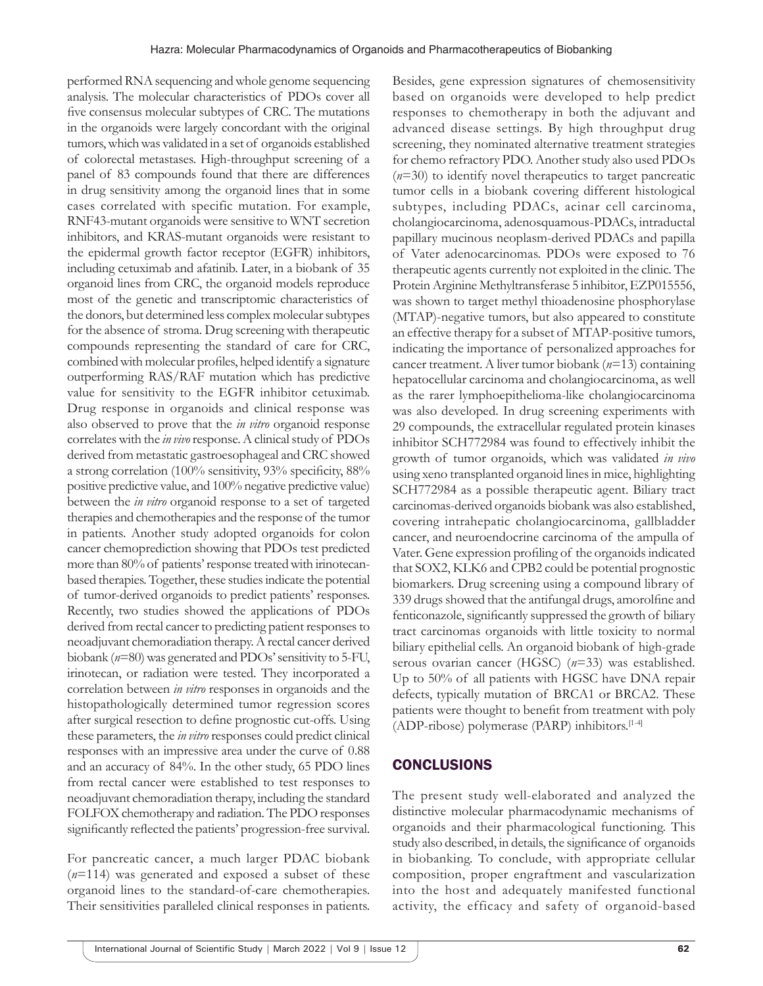performed RNA sequencing and whole genome sequencing analysis. The molecular characteristics of PDOs cover all five consensus molecular subtypes of CRC. The mutations in the organoids were largely concordant with the original tumors, which was validated in a set of organoids established of colorectal metastases. High-throughput screening of a panel of 83 compounds found that there are differences in drug sensitivity among the organoid lines that in some cases correlated with specific mutation. For example, RNF43-mutant organoids were sensitive to WNT secretion inhibitors, and KRAS-mutant organoids were resistant to the epidermal growth factor receptor (EGFR) inhibitors, including cetuximab and afatinib. Later, in a biobank of 35 organoid lines from CRC, the organoid models reproduce most of the genetic and transcriptomic characteristics of the donors, but determined less complex molecular subtypes for the absence of stroma. Drug screening with therapeutic compounds representing the standard of care for CRC, combined with molecular profiles, helped identify a signature outperforming RAS/RAF mutation which has predictive value for sensitivity to the EGFR inhibitor cetuximab. Drug response in organoids and clinical response was also observed to prove that the *in vitro* organoid response correlates with the *in vivo* response. Aclinical study of PDOs derived from metastatic gastroesophageal and CRC showed a strong correlation (100% sensitivity, 93% specificity, 88% positive predictive value, and 100% negative predictive value) between the *in vitro* organoid response to a set of targeted therapies and chemotherapies and the response of the tumor in patients. Another study adopted organoids for colon cancer chemoprediction showing that PDOs test predicted more than 80% of patients' response treated with irinotecanbased therapies. Together, these studies indicate the potential of tumor-derived organoids to predict patients' responses. Recently, two studies showed the applications of PDOs derived from rectal cancer to predicting patient responses to neoadjuvant chemoradiation therapy. A rectal cancer derived biobank (*n*=80) was generated and PDOs' sensitivity to 5-FU, irinotecan, or radiation were tested. They incorporated a correlation between *in vitro* responses in organoids and the histopathologically determined tumor regression scores after surgical resection to define prognostic cut-offs. Using these parameters, the *in vitro* responses could predict clinical responses with an impressive area under the curve of 0.88 and an accuracy of 84%. In the other study, 65 PDO lines from rectal cancer were established to test responses to neoadjuvant chemoradiation therapy, including the standard FOLFOX chemotherapy and radiation. The PDO responses significantly reflected the patients' progression-free survival.

For pancreatic cancer, a much larger PDAC biobank (*n*=114) was generated and exposed a subset of these organoid lines to the standard-of-care chemotherapies. Their sensitivities paralleled clinical responses in patients. Besides, gene expression signatures of chemosensitivity based on organoids were developed to help predict responses to chemotherapy in both the adjuvant and advanced disease settings. By high throughput drug screening, they nominated alternative treatment strategies for chemo refractory PDO. Another study also used PDOs (*n*=30) to identify novel therapeutics to target pancreatic tumor cells in a biobank covering different histological subtypes, including PDACs, acinar cell carcinoma, cholangiocarcinoma, adenosquamous-PDACs, intraductal papillary mucinous neoplasm-derived PDACs and papilla of Vater adenocarcinomas. PDOs were exposed to 76 therapeutic agents currently not exploited in the clinic. The Protein Arginine Methyltransferase 5 inhibitor, EZP015556, was shown to target methyl thioadenosine phosphorylase (MTAP)-negative tumors, but also appeared to constitute an effective therapy for a subset of MTAP-positive tumors, indicating the importance of personalized approaches for cancer treatment. A liver tumor biobank (*n*=13) containing hepatocellular carcinoma and cholangiocarcinoma, as well as the rarer lymphoepithelioma-like cholangiocarcinoma was also developed. In drug screening experiments with 29 compounds, the extracellular regulated protein kinases inhibitor SCH772984 was found to effectively inhibit the growth of tumor organoids, which was validated *in vivo* using xeno transplanted organoid lines in mice, highlighting SCH772984 as a possible therapeutic agent. Biliary tract carcinomas-derived organoids biobank was also established, covering intrahepatic cholangiocarcinoma, gallbladder cancer, and neuroendocrine carcinoma of the ampulla of Vater. Gene expression profiling of the organoids indicated that SOX2, KLK6 and CPB2 could be potential prognostic biomarkers. Drug screening using a compound library of 339 drugs showed that the antifungal drugs, amorolfine and fenticonazole, significantly suppressed the growth of biliary tract carcinomas organoids with little toxicity to normal biliary epithelial cells. An organoid biobank of high-grade serous ovarian cancer (HGSC) (*n*=33) was established. Up to 50% of all patients with HGSC have DNA repair defects, typically mutation of BRCA1 or BRCA2. These patients were thought to benefit from treatment with poly (ADP-ribose) polymerase (PARP) inhibitors.[1-4]

#### **CONCLUSIONS**

The present study well-elaborated and analyzed the distinctive molecular pharmacodynamic mechanisms of organoids and their pharmacological functioning. This study also described, in details, the significance of organoids in biobanking. To conclude, with appropriate cellular composition, proper engraftment and vascularization into the host and adequately manifested functional activity, the efficacy and safety of organoid-based